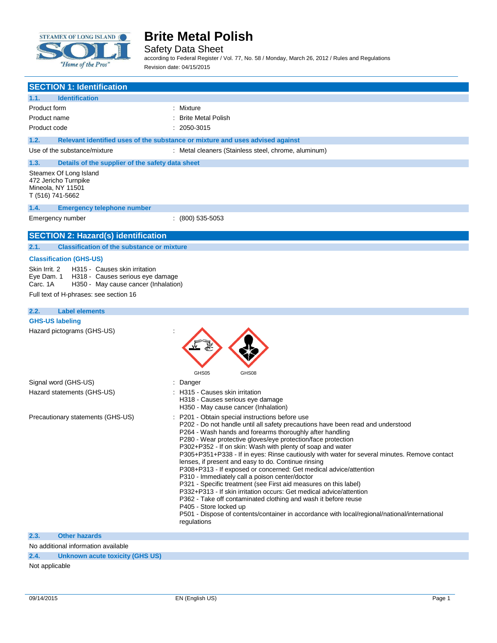

 $\overline{\phantom{a}}$ 

## **Brite Metal Polish**

Safety Data Sheet

according to Federal Register / Vol. 77, No. 58 / Monday, March 26, 2012 / Rules and Regulations Revision date: 04/15/2015

| <b>SECTION 1: Identification</b>                                                                                                                                                               |                                                                                                                                                                                                                                                                                                                                                                                                                                                                                                                                                                                                                                                                                                                                                                                                                                                                                                                                                                 |
|------------------------------------------------------------------------------------------------------------------------------------------------------------------------------------------------|-----------------------------------------------------------------------------------------------------------------------------------------------------------------------------------------------------------------------------------------------------------------------------------------------------------------------------------------------------------------------------------------------------------------------------------------------------------------------------------------------------------------------------------------------------------------------------------------------------------------------------------------------------------------------------------------------------------------------------------------------------------------------------------------------------------------------------------------------------------------------------------------------------------------------------------------------------------------|
| 1.1.<br><b>Identification</b>                                                                                                                                                                  |                                                                                                                                                                                                                                                                                                                                                                                                                                                                                                                                                                                                                                                                                                                                                                                                                                                                                                                                                                 |
| Product form                                                                                                                                                                                   | : Mixture                                                                                                                                                                                                                                                                                                                                                                                                                                                                                                                                                                                                                                                                                                                                                                                                                                                                                                                                                       |
| Product name                                                                                                                                                                                   | <b>Brite Metal Polish</b>                                                                                                                                                                                                                                                                                                                                                                                                                                                                                                                                                                                                                                                                                                                                                                                                                                                                                                                                       |
| Product code                                                                                                                                                                                   | $: 2050 - 3015$                                                                                                                                                                                                                                                                                                                                                                                                                                                                                                                                                                                                                                                                                                                                                                                                                                                                                                                                                 |
| 1.2.                                                                                                                                                                                           | Relevant identified uses of the substance or mixture and uses advised against                                                                                                                                                                                                                                                                                                                                                                                                                                                                                                                                                                                                                                                                                                                                                                                                                                                                                   |
| Use of the substance/mixture                                                                                                                                                                   | : Metal cleaners (Stainless steel, chrome, aluminum)                                                                                                                                                                                                                                                                                                                                                                                                                                                                                                                                                                                                                                                                                                                                                                                                                                                                                                            |
| Details of the supplier of the safety data sheet<br>1.3.                                                                                                                                       |                                                                                                                                                                                                                                                                                                                                                                                                                                                                                                                                                                                                                                                                                                                                                                                                                                                                                                                                                                 |
| Steamex Of Long Island<br>472 Jericho Turnpike<br>Mineola, NY 11501<br>T (516) 741-5662                                                                                                        |                                                                                                                                                                                                                                                                                                                                                                                                                                                                                                                                                                                                                                                                                                                                                                                                                                                                                                                                                                 |
| 1.4.<br><b>Emergency telephone number</b>                                                                                                                                                      |                                                                                                                                                                                                                                                                                                                                                                                                                                                                                                                                                                                                                                                                                                                                                                                                                                                                                                                                                                 |
| Emergency number                                                                                                                                                                               | $(800)$ 535-5053                                                                                                                                                                                                                                                                                                                                                                                                                                                                                                                                                                                                                                                                                                                                                                                                                                                                                                                                                |
| <b>SECTION 2: Hazard(s) identification</b>                                                                                                                                                     |                                                                                                                                                                                                                                                                                                                                                                                                                                                                                                                                                                                                                                                                                                                                                                                                                                                                                                                                                                 |
| <b>Classification of the substance or mixture</b><br>2.1.                                                                                                                                      |                                                                                                                                                                                                                                                                                                                                                                                                                                                                                                                                                                                                                                                                                                                                                                                                                                                                                                                                                                 |
| <b>Classification (GHS-US)</b>                                                                                                                                                                 |                                                                                                                                                                                                                                                                                                                                                                                                                                                                                                                                                                                                                                                                                                                                                                                                                                                                                                                                                                 |
| Skin Irrit, 2<br>H315 - Causes skin irritation<br>Eye Dam. 1<br>H318 - Causes serious eye damage<br>Carc. 1A<br>H350 - May cause cancer (Inhalation)<br>Full text of H-phrases: see section 16 |                                                                                                                                                                                                                                                                                                                                                                                                                                                                                                                                                                                                                                                                                                                                                                                                                                                                                                                                                                 |
| <b>Label elements</b><br>2.2.                                                                                                                                                                  |                                                                                                                                                                                                                                                                                                                                                                                                                                                                                                                                                                                                                                                                                                                                                                                                                                                                                                                                                                 |
| <b>GHS-US labeling</b>                                                                                                                                                                         |                                                                                                                                                                                                                                                                                                                                                                                                                                                                                                                                                                                                                                                                                                                                                                                                                                                                                                                                                                 |
| Hazard pictograms (GHS-US)                                                                                                                                                                     | GHS05<br>GHS08                                                                                                                                                                                                                                                                                                                                                                                                                                                                                                                                                                                                                                                                                                                                                                                                                                                                                                                                                  |
| Signal word (GHS-US)                                                                                                                                                                           | Danger                                                                                                                                                                                                                                                                                                                                                                                                                                                                                                                                                                                                                                                                                                                                                                                                                                                                                                                                                          |
| Hazard statements (GHS-US)                                                                                                                                                                     | : H315 - Causes skin irritation<br>H318 - Causes serious eye damage<br>H350 - May cause cancer (Inhalation)                                                                                                                                                                                                                                                                                                                                                                                                                                                                                                                                                                                                                                                                                                                                                                                                                                                     |
| Precautionary statements (GHS-US)                                                                                                                                                              | P201 - Obtain special instructions before use<br>P202 - Do not handle until all safety precautions have been read and understood<br>P264 - Wash hands and forearms thoroughly after handling<br>P280 - Wear protective gloves/eye protection/face protection<br>P302+P352 - If on skin: Wash with plenty of soap and water<br>P305+P351+P338 - If in eyes: Rinse cautiously with water for several minutes. Remove contact<br>lenses, if present and easy to do. Continue rinsing<br>P308+P313 - If exposed or concerned: Get medical advice/attention<br>P310 - Immediately call a poison center/doctor<br>P321 - Specific treatment (see First aid measures on this label)<br>P332+P313 - If skin irritation occurs: Get medical advice/attention<br>P362 - Take off contaminated clothing and wash it before reuse<br>P405 - Store locked up<br>P501 - Dispose of contents/container in accordance with local/regional/national/international<br>regulations |
| 2.3.<br><b>Other hazards</b>                                                                                                                                                                   |                                                                                                                                                                                                                                                                                                                                                                                                                                                                                                                                                                                                                                                                                                                                                                                                                                                                                                                                                                 |

No additional information available **2.4. Unknown acute toxicity (GHS US)**

Not applicable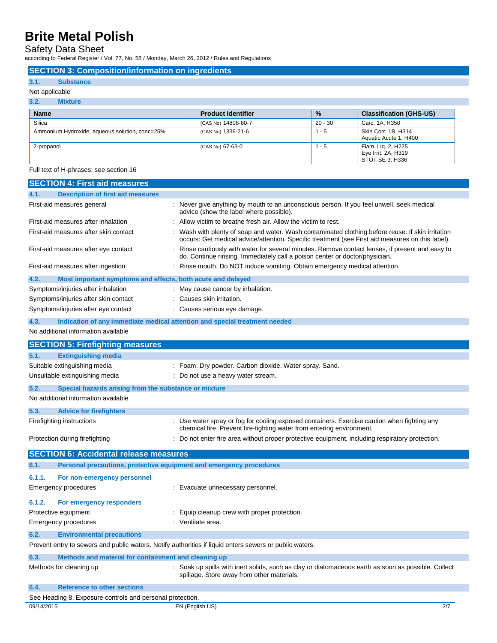Safety Data Sheet

according to Federal Register / Vol. 77, No. 58 / Monday, March 26, 2012 / Rules and Regulations

### **SECTION 3: Composition/information on ingredients**

#### **3.1. Substance**

#### Not applicable

L.

| 3.2.<br><b>Mixture</b>                         |                           |               |                                                              |
|------------------------------------------------|---------------------------|---------------|--------------------------------------------------------------|
| <b>Name</b>                                    | <b>Product identifier</b> | $\frac{9}{6}$ | <b>Classification (GHS-US)</b>                               |
| Silica                                         | (CAS No) 14808-60-7       | $20 - 30$     | Carc. 1A, H350                                               |
| Ammonium Hydroxide, aqueous solution, conc=25% | (CAS No) 1336-21-6        | $1 - 5$       | Skin Corr. 1B, H314<br>Aquatic Acute 1, H400                 |
| 2-propanol                                     | (CAS No) 67-63-0          | $1 - 5$       | Flam. Lig. 2, H225<br>Eye Irrit. 2A, H319<br>STOT SE 3, H336 |

Full text of H-phrases: see section 16

|            | <b>SECTION 4: First aid measures</b>                                |                                                                                                                                                                                                     |
|------------|---------------------------------------------------------------------|-----------------------------------------------------------------------------------------------------------------------------------------------------------------------------------------------------|
| 4.1.       | <b>Description of first aid measures</b>                            |                                                                                                                                                                                                     |
|            | First-aid measures general                                          | : Never give anything by mouth to an unconscious person. If you feel unwell, seek medical<br>advice (show the label where possible).                                                                |
|            | First-aid measures after inhalation                                 | : Allow victim to breathe fresh air. Allow the victim to rest.                                                                                                                                      |
|            | First-aid measures after skin contact                               | Wash with plenty of soap and water. Wash contaminated clothing before reuse. If skin irritation<br>occurs: Get medical advice/attention. Specific treatment (see First aid measures on this label). |
|            | First-aid measures after eye contact                                | : Rinse cautiously with water for several minutes. Remove contact lenses, if present and easy to<br>do. Continue rinsing. Immediately call a poison center or doctor/physician.                     |
|            | First-aid measures after ingestion                                  | : Rinse mouth. Do NOT induce vomiting. Obtain emergency medical attention.                                                                                                                          |
| 4.2.       | Most important symptoms and effects, both acute and delayed         |                                                                                                                                                                                                     |
|            | Symptoms/injuries after inhalation                                  | : May cause cancer by inhalation.                                                                                                                                                                   |
|            | Symptoms/injuries after skin contact                                | : Causes skin irritation.                                                                                                                                                                           |
|            | Symptoms/injuries after eye contact                                 | : Causes serious eye damage.                                                                                                                                                                        |
| 4.3.       |                                                                     | Indication of any immediate medical attention and special treatment needed                                                                                                                          |
|            | No additional information available                                 |                                                                                                                                                                                                     |
|            | <b>SECTION 5: Firefighting measures</b>                             |                                                                                                                                                                                                     |
| 5.1.       | <b>Extinguishing media</b>                                          |                                                                                                                                                                                                     |
|            | Suitable extinguishing media                                        | : Foam. Dry powder. Carbon dioxide. Water spray. Sand.                                                                                                                                              |
|            | Unsuitable extinguishing media                                      | : Do not use a heavy water stream.                                                                                                                                                                  |
|            |                                                                     |                                                                                                                                                                                                     |
| 5.2.       | Special hazards arising from the substance or mixture               |                                                                                                                                                                                                     |
|            | No additional information available                                 |                                                                                                                                                                                                     |
| 5.3.       | <b>Advice for firefighters</b>                                      |                                                                                                                                                                                                     |
|            | Firefighting instructions                                           | : Use water spray or fog for cooling exposed containers. Exercise caution when fighting any<br>chemical fire. Prevent fire-fighting water from entering environment.                                |
|            | Protection during firefighting                                      | : Do not enter fire area without proper protective equipment, including respiratory protection.                                                                                                     |
|            | <b>SECTION 6: Accidental release measures</b>                       |                                                                                                                                                                                                     |
| 6.1.       | Personal precautions, protective equipment and emergency procedures |                                                                                                                                                                                                     |
| 6.1.1.     | For non-emergency personnel                                         |                                                                                                                                                                                                     |
|            | Emergency procedures                                                | : Evacuate unnecessary personnel.                                                                                                                                                                   |
|            |                                                                     |                                                                                                                                                                                                     |
| 6.1.2.     | For emergency responders                                            |                                                                                                                                                                                                     |
|            | Protective equipment                                                | : Equip cleanup crew with proper protection.                                                                                                                                                        |
|            | <b>Emergency procedures</b>                                         | : Ventilate area.                                                                                                                                                                                   |
| 6.2.       | <b>Environmental precautions</b>                                    |                                                                                                                                                                                                     |
|            |                                                                     | Prevent entry to sewers and public waters. Notify authorities if liquid enters sewers or public waters.                                                                                             |
| 6.3.       | Methods and material for containment and cleaning up                |                                                                                                                                                                                                     |
|            | Methods for cleaning up                                             | : Soak up spills with inert solids, such as clay or diatomaceous earth as soon as possible. Collect<br>spillage. Store away from other materials.                                                   |
| 6.4.       | <b>Reference to other sections</b>                                  |                                                                                                                                                                                                     |
|            | See Heading 8. Exposure controls and personal protection.           |                                                                                                                                                                                                     |
| 09/14/2015 |                                                                     | EN (English US)<br>2/7                                                                                                                                                                              |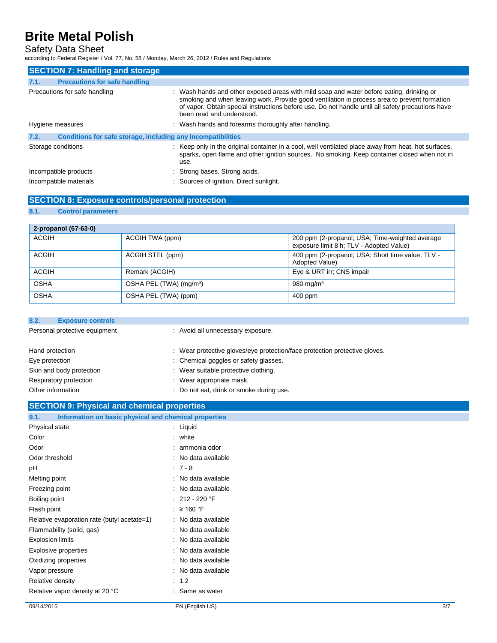### Safety Data Sheet

according to Federal Register / Vol. 77, No. 58 / Monday, March 26, 2012 / Rules and Regulations

| <b>SECTION 7: Handling and storage</b>                               |                                                                                                                                                                                                                                                                                                                            |
|----------------------------------------------------------------------|----------------------------------------------------------------------------------------------------------------------------------------------------------------------------------------------------------------------------------------------------------------------------------------------------------------------------|
| 7.1.<br><b>Precautions for safe handling</b>                         |                                                                                                                                                                                                                                                                                                                            |
| Precautions for safe handling                                        | : Wash hands and other exposed areas with mild soap and water before eating, drinking or<br>smoking and when leaving work. Provide good ventilation in process area to prevent formation<br>of vapor. Obtain special instructions before use. Do not handle until all safety precautions have<br>been read and understood. |
| Hygiene measures                                                     | : Wash hands and forearms thoroughly after handling.                                                                                                                                                                                                                                                                       |
| 7.2.<br>Conditions for safe storage, including any incompatibilities |                                                                                                                                                                                                                                                                                                                            |
| Storage conditions                                                   | : Keep only in the original container in a cool, well ventilated place away from heat, hot surfaces,<br>sparks, open flame and other ignition sources. No smoking. Keep container closed when not in<br>use.                                                                                                               |
| Incompatible products                                                | : Strong bases. Strong acids.                                                                                                                                                                                                                                                                                              |
| Incompatible materials                                               | : Sources of ignition. Direct sunlight.                                                                                                                                                                                                                                                                                    |

## **SECTION 8: Exposure controls/personal protection**

#### **8.1. Control parameters**

| 2-propanol (67-63-0) |                                     |                                                                                             |
|----------------------|-------------------------------------|---------------------------------------------------------------------------------------------|
| <b>ACGIH</b>         | ACGIH TWA (ppm)                     | 200 ppm (2-propanol; USA; Time-weighted average<br>exposure limit 8 h; TLV - Adopted Value) |
| <b>ACGIH</b>         | ACGIH STEL (ppm)                    | 400 ppm (2-propanol; USA; Short time value; TLV -<br><b>Adopted Value)</b>                  |
| <b>ACGIH</b>         | Remark (ACGIH)                      | Eye & URT irr; CNS impair                                                                   |
| <b>OSHA</b>          | OSHA PEL (TWA) (mg/m <sup>3</sup> ) | 980 mg/m $3$                                                                                |
| <b>OSHA</b>          | OSHA PEL (TWA) (ppm)                | 400 ppm                                                                                     |

| 8.2.              | <b>Exposure controls</b>      |                                                                            |  |
|-------------------|-------------------------------|----------------------------------------------------------------------------|--|
|                   | Personal protective equipment | : Avoid all unnecessary exposure.                                          |  |
| Hand protection   |                               | : Wear protective gloves/eye protection/face protection protective gloves. |  |
| Eye protection    |                               | : Chemical goggles or safety glasses.                                      |  |
|                   | Skin and body protection      | : Wear suitable protective clothing.                                       |  |
|                   | Respiratory protection        | : Wear appropriate mask.                                                   |  |
| Other information |                               | : Do not eat, drink or smoke during use.                                   |  |
|                   |                               |                                                                            |  |

### **SECTION 9: Physical and chemical properties**

| Information on basic physical and chemical properties<br>9.1. |                     |
|---------------------------------------------------------------|---------------------|
| Physical state                                                | $:$ Liquid          |
| Color                                                         | : white             |
| Odor                                                          | : ammonia odor      |
| Odor threshold                                                | : No data available |
| pH                                                            | $:7-8$              |
| Melting point                                                 | : No data available |
| Freezing point                                                | : No data available |
| Boiling point                                                 | $: 212 - 220$ °F    |
| Flash point                                                   | : $\geq 160$ °F     |
| Relative evaporation rate (butyl acetate=1)                   | : No data available |
| Flammability (solid, gas)                                     | : No data available |
| <b>Explosion limits</b>                                       | : No data available |
| Explosive properties                                          | : No data available |
| Oxidizing properties                                          | : No data available |
| Vapor pressure                                                | : No data available |
| Relative density                                              | $\therefore$ 1.2    |
| Relative vapor density at 20 °C                               | : Same as water     |
|                                                               |                     |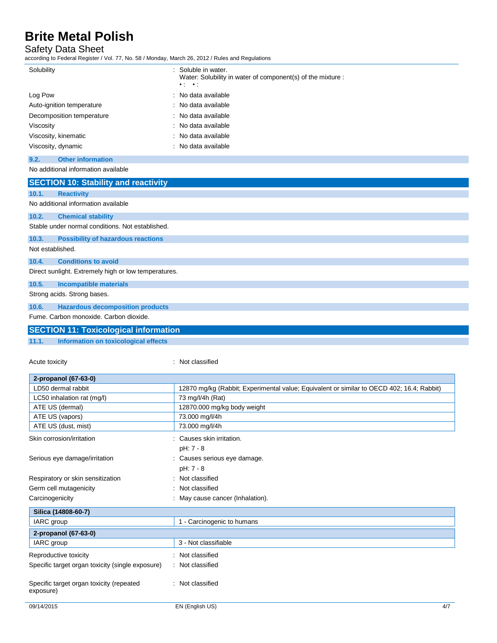### Safety Data Sheet

according to Federal Register / Vol. 77, No. 58 / Monday, March 26, 2012 / Rules and Regulations

| 2000 luliy to Foucidi Hoylotof / Yol. 77, No. 00 / Monday, Maron 20, 2012 / Naios and Hoyalations |                                                                                                               |
|---------------------------------------------------------------------------------------------------|---------------------------------------------------------------------------------------------------------------|
| Solubility                                                                                        | : Soluble in water.<br>Water: Solubility in water of component(s) of the mixture :<br>$\bullet$ : $\bullet$ : |
| Log Pow                                                                                           | No data available                                                                                             |
| Auto-ignition temperature                                                                         | No data available                                                                                             |
| Decomposition temperature                                                                         | No data available                                                                                             |
| Viscosity                                                                                         | No data available                                                                                             |
| Viscosity, kinematic                                                                              | No data available                                                                                             |
| Viscosity, dynamic                                                                                | No data available                                                                                             |
| <b>Other information</b><br>9.2.                                                                  |                                                                                                               |
| No additional information available                                                               |                                                                                                               |
| <b>SECTION 10: Stability and reactivity</b>                                                       |                                                                                                               |
| 10.1.<br><b>Reactivity</b>                                                                        |                                                                                                               |
| No additional information available                                                               |                                                                                                               |
| 10.2.<br><b>Chemical stability</b>                                                                |                                                                                                               |
| Stable under normal conditions. Not established.                                                  |                                                                                                               |
| 10.3.<br><b>Possibility of hazardous reactions</b>                                                |                                                                                                               |
| Not established.                                                                                  |                                                                                                               |
| <b>Conditions to avoid</b><br>10.4.                                                               |                                                                                                               |
| Direct sunlight. Extremely high or low temperatures.                                              |                                                                                                               |
| 10.5.<br><b>Incompatible materials</b>                                                            |                                                                                                               |
| Strong acids. Strong bases.                                                                       |                                                                                                               |
| 10.6.<br><b>Hazardous decomposition products</b>                                                  |                                                                                                               |
| Fume, Carbon monoxide, Carbon dioxide.                                                            |                                                                                                               |
| <b>SECTION 11: Toxicological information</b>                                                      |                                                                                                               |
| 11.1.<br>Information on toxicological effects                                                     |                                                                                                               |
|                                                                                                   |                                                                                                               |
| Acute toxicity                                                                                    | Not classified                                                                                                |

| 2-propanol (67-63-0)                                  |                                                                                           |
|-------------------------------------------------------|-------------------------------------------------------------------------------------------|
| LD50 dermal rabbit                                    | 12870 mg/kg (Rabbit; Experimental value; Equivalent or similar to OECD 402; 16.4; Rabbit) |
| LC50 inhalation rat (mg/l)                            | 73 mg/l/4h (Rat)                                                                          |
| ATE US (dermal)                                       | 12870.000 mg/kg body weight                                                               |
| ATE US (vapors)                                       | 73.000 mg/l/4h                                                                            |
| ATE US (dust, mist)                                   | 73.000 mg/l/4h                                                                            |
| Skin corrosion/irritation                             | Causes skin irritation.                                                                   |
|                                                       | pH: 7 - 8                                                                                 |
| Serious eye damage/irritation                         | : Causes serious eye damage.                                                              |
|                                                       | pH: 7 - 8                                                                                 |
| Respiratory or skin sensitization                     | : Not classified                                                                          |
| Germ cell mutagenicity                                | : Not classified                                                                          |
| Carcinogenicity                                       | : May cause cancer (Inhalation).                                                          |
| Silica (14808-60-7)                                   |                                                                                           |
| IARC group                                            | 1 - Carcinogenic to humans                                                                |
| 2-propanol (67-63-0)                                  |                                                                                           |
| IARC group                                            | 3 - Not classifiable                                                                      |
| Reproductive toxicity                                 | : Not classified                                                                          |
| Specific target organ toxicity (single exposure)      | : Not classified                                                                          |
| Specific target organ toxicity (repeated<br>exposure) | : Not classified                                                                          |
| 09/14/2015                                            | 4/7<br>EN (English US)                                                                    |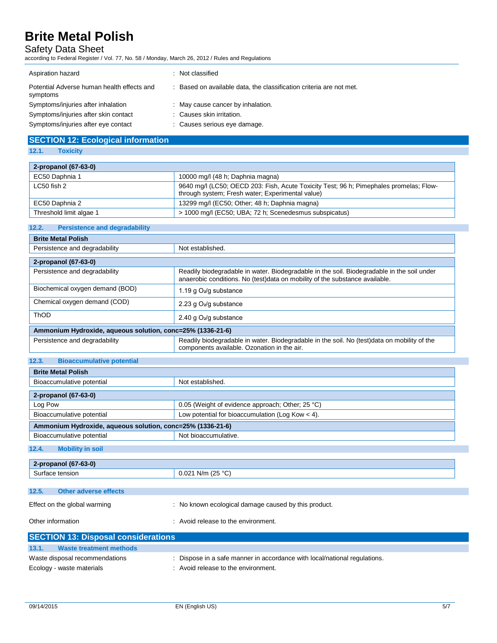## Safety Data Sheet

according to Federal Register / Vol. 77, No. 58 / Monday, March 26, 2012 / Rules and Regulations

| Aspiration hazard                                      | : Not classified                                                    |
|--------------------------------------------------------|---------------------------------------------------------------------|
| Potential Adverse human health effects and<br>symptoms | : Based on available data, the classification criteria are not met. |
| Symptoms/injuries after inhalation                     | : May cause cancer by inhalation.                                   |
| Symptoms/injuries after skin contact                   | : Causes skin irritation.                                           |
| Symptoms/injuries after eye contact                    | : Causes serious eye damage.                                        |

## **SECTION 12: Ecological information**

#### **12.1. Toxicity**

| 2-propanol (67-63-0)    |                                                                                                                                            |
|-------------------------|--------------------------------------------------------------------------------------------------------------------------------------------|
| EC50 Daphnia 1          | 10000 mg/l (48 h; Daphnia magna)                                                                                                           |
| LC50 fish 2             | 9640 mg/l (LC50; OECD 203: Fish, Acute Toxicity Test; 96 h; Pimephales promelas; Flow-<br>through system; Fresh water; Experimental value) |
| EC50 Daphnia 2          | 13299 mg/l (EC50; Other; 48 h; Daphnia magna)                                                                                              |
| Threshold limit algae 1 | > 1000 mg/l (EC50; UBA; 72 h; Scenedesmus subspicatus)                                                                                     |

## **12.2. Persistence and degradability**

| Not established.                                                                                                                                                          |  |
|---------------------------------------------------------------------------------------------------------------------------------------------------------------------------|--|
|                                                                                                                                                                           |  |
|                                                                                                                                                                           |  |
| Readily biodegradable in water. Biodegradable in the soil. Biodegradable in the soil under<br>anaerobic conditions. No (test)data on mobility of the substance available. |  |
| 1.19 g $O_2$ /g substance                                                                                                                                                 |  |
| 2.23 g $O_2$ /g substance                                                                                                                                                 |  |
| 2.40 g $O_2$ /g substance                                                                                                                                                 |  |
| Ammonium Hydroxide, aqueous solution, conc=25% (1336-21-6)                                                                                                                |  |
| Readily biodegradable in water. Biodegradable in the soil. No (test) data on mobility of the<br>components available. Ozonation in the air.                               |  |
| <b>Bioaccumulative potential</b><br>12.3.                                                                                                                                 |  |
|                                                                                                                                                                           |  |
| Not established.                                                                                                                                                          |  |
|                                                                                                                                                                           |  |
| 0.05 (Weight of evidence approach; Other; 25 °C)                                                                                                                          |  |
| Low potential for bioaccumulation (Log Kow $<$ 4).                                                                                                                        |  |
|                                                                                                                                                                           |  |

**Ammonium Hydroxide, aqueous solution, conc=25% (1336-21-6)** Bioaccumulative potential Not bioaccumulative.

#### **12.4. Mobility in soil**

| 62.01<br>$\overline{1}$<br>$2-p$<br>"opano.<br>0. S=UI |                                       |
|--------------------------------------------------------|---------------------------------------|
| sior                                                   | (25°<br>N/m<br>0.02<br>$\cdot$<br>ںے، |
|                                                        |                                       |

| 12.5. | Other adverse effects |  |
|-------|-----------------------|--|
|       |                       |  |

| Effect on the global warming | : No known ecological damage caused by this product. |
|------------------------------|------------------------------------------------------|
|                              |                                                      |

| Other information | : Avoid release to the environment. |
|-------------------|-------------------------------------|
|                   |                                     |

| <b>SECTION 13: Disposal considerations</b> |                                                                           |
|--------------------------------------------|---------------------------------------------------------------------------|
| 13.1.<br>Waste treatment methods           |                                                                           |
| Waste disposal recommendations             | : Dispose in a safe manner in accordance with local/national regulations. |
| Ecology - waste materials                  | : Avoid release to the environment.                                       |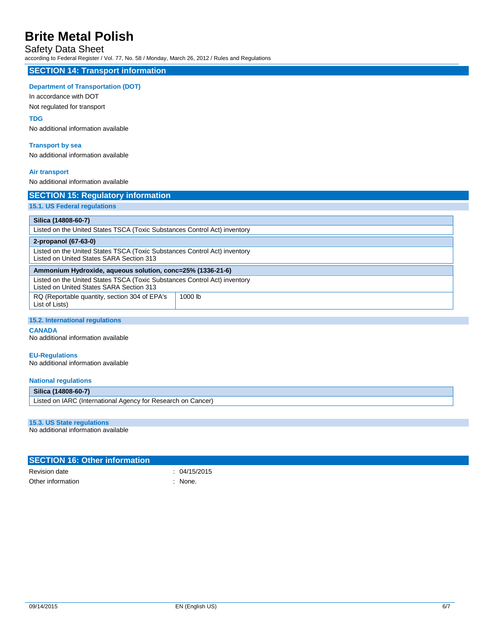## Safety Data Sheet

according to Federal Register / Vol. 77, No. 58 / Monday, March 26, 2012 / Rules and Regulations

### **SECTION 14: Transport information**

#### **Department of Transportation (DOT)**

In accordance with DOT

Not regulated for transport

### **TDG**

No additional information available

#### **Transport by sea**

No additional information available

#### **Air transport**

No additional information available

| Listed on the United States TSCA (Toxic Substances Control Act) inventory                                             |  |  |
|-----------------------------------------------------------------------------------------------------------------------|--|--|
| 2-propanol (67-63-0)                                                                                                  |  |  |
| Listed on the United States TSCA (Toxic Substances Control Act) inventory<br>Listed on United States SARA Section 313 |  |  |
| Ammonium Hydroxide, aqueous solution, conc=25% (1336-21-6)                                                            |  |  |
| Listed on the United States TSCA (Toxic Substances Control Act) inventory<br>Listed on United States SARA Section 313 |  |  |
| 1000 lb                                                                                                               |  |  |
|                                                                                                                       |  |  |

#### **CANADA**

No additional information available

#### **EU-Regulations**

No additional information available

#### **National regulations**

| <b>Silica</b><br>(14808-60-7)                                                              |  |
|--------------------------------------------------------------------------------------------|--|
| Listed on IARC<br>Cancer)<br>' (International<br><sub>on</sub><br>r Research<br>Agency for |  |

#### **15.3. US State regulations**

No additional information available

| <b>SECTION 16: Other information</b> |              |
|--------------------------------------|--------------|
| Revision date                        | : 04/15/2015 |
| Other information                    | None.        |